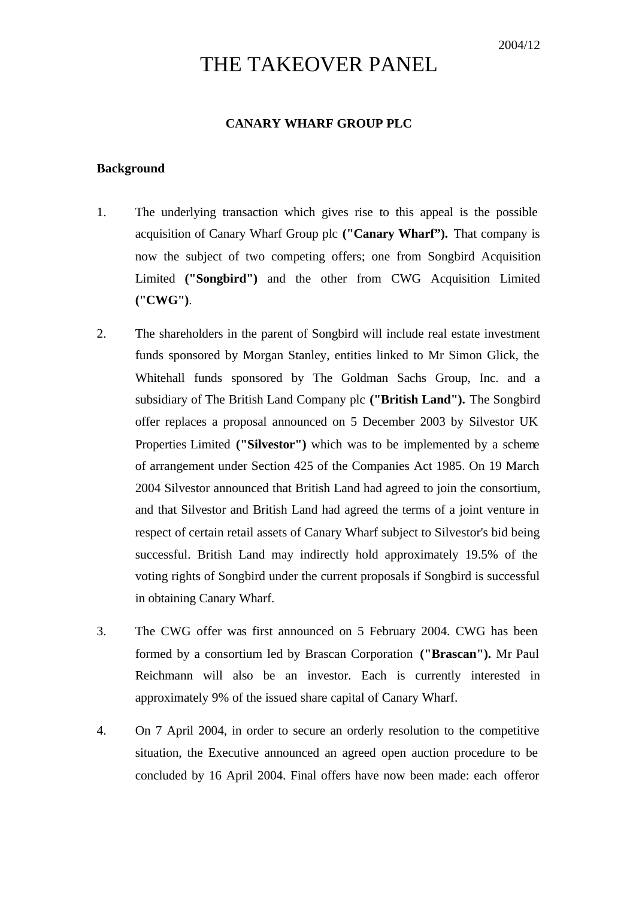# THE TAKEOVER PANEL

# **CANARY WHARF GROUP PLC**

#### **Background**

- 1. The underlying transaction which gives rise to this appeal is the possible acquisition of Canary Wharf Group plc **("Canary Wharf").** That company is now the subject of two competing offers; one from Songbird Acquisition Limited **("Songbird")** and the other from CWG Acquisition Limited **("CWG")**.
- 2. The shareholders in the parent of Songbird will include real estate investment funds sponsored by Morgan Stanley, entities linked to Mr Simon Glick, the Whitehall funds sponsored by The Goldman Sachs Group, Inc. and a subsidiary of The British Land Company plc **("British Land").** The Songbird offer replaces a proposal announced on 5 December 2003 by Silvestor UK Properties Limited **("Silvestor")** which was to be implemented by a scheme of arrangement under Section 425 of the Companies Act 1985. On 19 March 2004 Silvestor announced that British Land had agreed to join the consortium, and that Silvestor and British Land had agreed the terms of a joint venture in respect of certain retail assets of Canary Wharf subject to Silvestor's bid being successful. British Land may indirectly hold approximately 19.5% of the voting rights of Songbird under the current proposals if Songbird is successful in obtaining Canary Wharf.
- 3. The CWG offer was first announced on 5 February 2004. CWG has been formed by a consortium led by Brascan Corporation **("Brascan").** Mr Paul Reichmann will also be an investor. Each is currently interested in approximately 9% of the issued share capital of Canary Wharf.
- 4. On 7 April 2004, in order to secure an orderly resolution to the competitive situation, the Executive announced an agreed open auction procedure to be concluded by 16 April 2004. Final offers have now been made: each offeror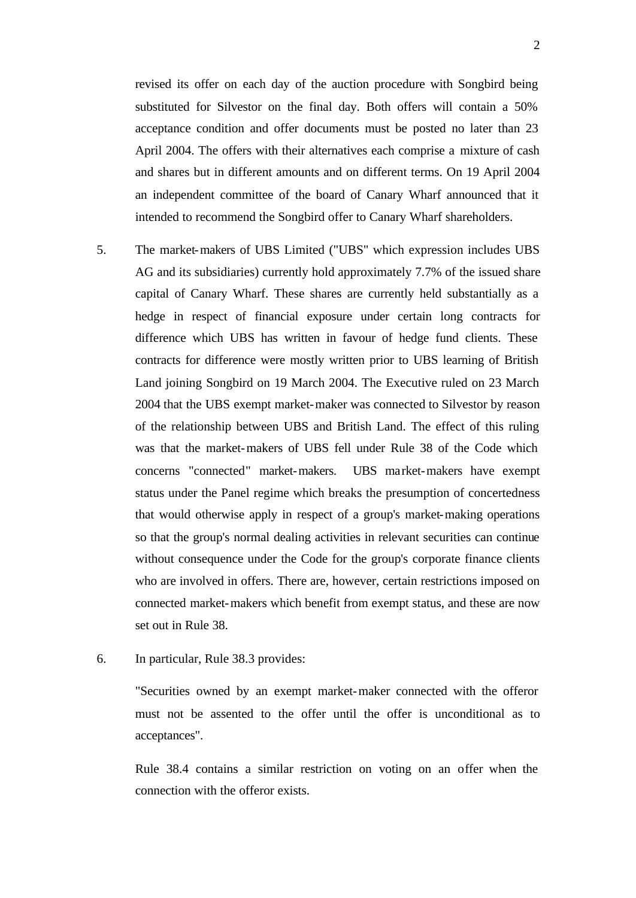revised its offer on each day of the auction procedure with Songbird being substituted for Silvestor on the final day. Both offers will contain a 50% acceptance condition and offer documents must be posted no later than 23 April 2004. The offers with their alternatives each comprise a mixture of cash and shares but in different amounts and on different terms. On 19 April 2004 an independent committee of the board of Canary Wharf announced that it intended to recommend the Songbird offer to Canary Wharf shareholders.

- 5. The market-makers of UBS Limited ("UBS" which expression includes UBS AG and its subsidiaries) currently hold approximately 7.7% of the issued share capital of Canary Wharf. These shares are currently held substantially as a hedge in respect of financial exposure under certain long contracts for difference which UBS has written in favour of hedge fund clients. These contracts for difference were mostly written prior to UBS learning of British Land joining Songbird on 19 March 2004. The Executive ruled on 23 March 2004 that the UBS exempt market-maker was connected to Silvestor by reason of the relationship between UBS and British Land. The effect of this ruling was that the market-makers of UBS fell under Rule 38 of the Code which concerns "connected" market-makers. UBS market-makers have exempt status under the Panel regime which breaks the presumption of concertedness that would otherwise apply in respect of a group's market-making operations so that the group's normal dealing activities in relevant securities can continue without consequence under the Code for the group's corporate finance clients who are involved in offers. There are, however, certain restrictions imposed on connected market-makers which benefit from exempt status, and these are now set out in Rule 38.
- 6. In particular, Rule 38.3 provides:

"Securities owned by an exempt market-maker connected with the offeror must not be assented to the offer until the offer is unconditional as to acceptances".

Rule 38.4 contains a similar restriction on voting on an offer when the connection with the offeror exists.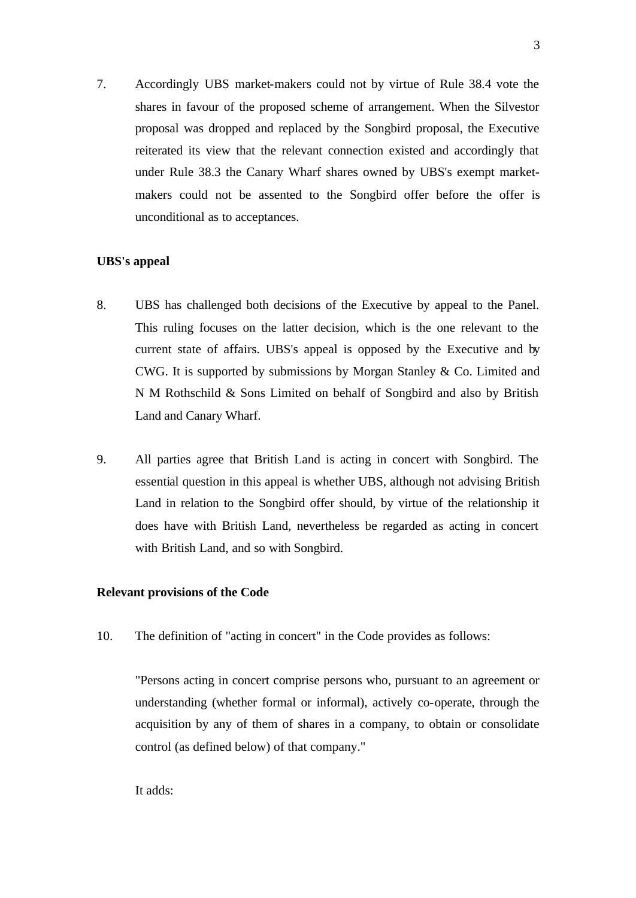7. Accordingly UBS market-makers could not by virtue of Rule 38.4 vote the shares in favour of the proposed scheme of arrangement. When the Silvestor proposal was dropped and replaced by the Songbird proposal, the Executive reiterated its view that the relevant connection existed and accordingly that under Rule 38.3 the Canary Wharf shares owned by UBS's exempt marketmakers could not be assented to the Songbird offer before the offer is unconditional as to acceptances.

# **UBS's appeal**

- 8. UBS has challenged both decisions of the Executive by appeal to the Panel. This ruling focuses on the latter decision, which is the one relevant to the current state of affairs. UBS's appeal is opposed by the Executive and by CWG. It is supported by submissions by Morgan Stanley & Co. Limited and N M Rothschild & Sons Limited on behalf of Songbird and also by British Land and Canary Wharf.
- 9. All parties agree that British Land is acting in concert with Songbird. The essential question in this appeal is whether UBS, although not advising British Land in relation to the Songbird offer should, by virtue of the relationship it does have with British Land, nevertheless be regarded as acting in concert with British Land, and so with Songbird.

# **Relevant provisions of the Code**

10. The definition of "acting in concert" in the Code provides as follows:

"Persons acting in concert comprise persons who, pursuant to an agreement or understanding (whether formal or informal), actively co-operate, through the acquisition by any of them of shares in a company, to obtain or consolidate control (as defined below) of that company."

It adds: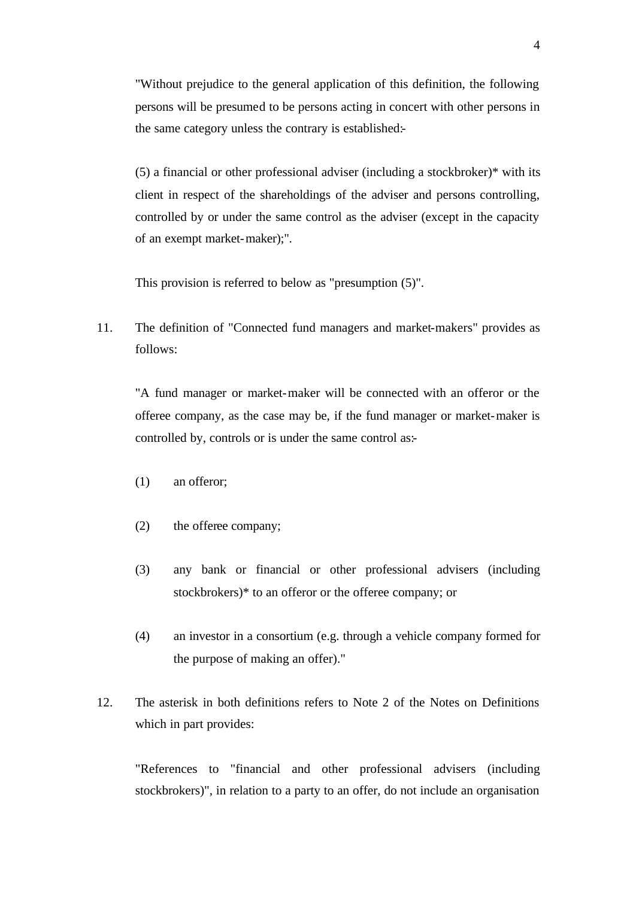"Without prejudice to the general application of this definition, the following persons will be presumed to be persons acting in concert with other persons in the same category unless the contrary is established:-

(5) a financial or other professional adviser (including a stockbroker)\* with its client in respect of the shareholdings of the adviser and persons controlling, controlled by or under the same control as the adviser (except in the capacity of an exempt market-maker);".

This provision is referred to below as "presumption (5)".

11. The definition of "Connected fund managers and market-makers" provides as follows:

"A fund manager or market-maker will be connected with an offeror or the offeree company, as the case may be, if the fund manager or market-maker is controlled by, controls or is under the same control as:-

- (1) an offeror;
- (2) the offeree company;
- (3) any bank or financial or other professional advisers (including stockbrokers)\* to an offeror or the offeree company; or
- (4) an investor in a consortium (e.g. through a vehicle company formed for the purpose of making an offer)."
- 12. The asterisk in both definitions refers to Note 2 of the Notes on Definitions which in part provides:

"References to "financial and other professional advisers (including stockbrokers)", in relation to a party to an offer, do not include an organisation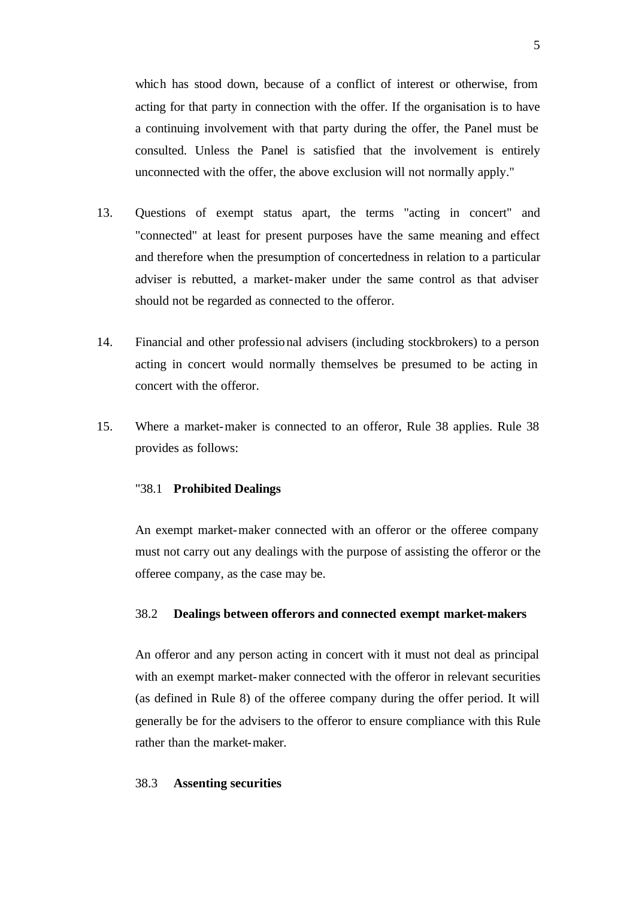which has stood down, because of a conflict of interest or otherwise, from acting for that party in connection with the offer. If the organisation is to have a continuing involvement with that party during the offer, the Panel must be consulted. Unless the Panel is satisfied that the involvement is entirely unconnected with the offer, the above exclusion will not normally apply."

- 13. Questions of exempt status apart, the terms "acting in concert" and "connected" at least for present purposes have the same meaning and effect and therefore when the presumption of concertedness in relation to a particular adviser is rebutted, a market-maker under the same control as that adviser should not be regarded as connected to the offeror.
- 14. Financial and other professional advisers (including stockbrokers) to a person acting in concert would normally themselves be presumed to be acting in concert with the offeror.
- 15. Where a market-maker is connected to an offeror, Rule 38 applies. Rule 38 provides as follows:

#### "38.1 **Prohibited Dealings**

An exempt market-maker connected with an offeror or the offeree company must not carry out any dealings with the purpose of assisting the offeror or the offeree company, as the case may be.

## 38.2 **Dealings between offerors and connected exempt market-makers**

An offeror and any person acting in concert with it must not deal as principal with an exempt market-maker connected with the offeror in relevant securities (as defined in Rule 8) of the offeree company during the offer period. It will generally be for the advisers to the offeror to ensure compliance with this Rule rather than the market-maker.

#### 38.3 **Assenting securities**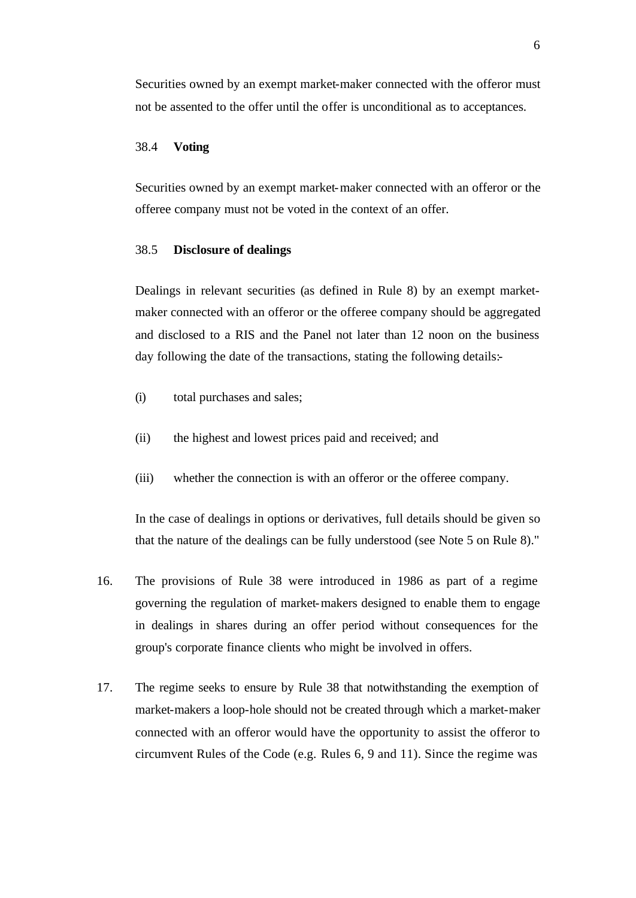Securities owned by an exempt market-maker connected with the offeror must not be assented to the offer until the offer is unconditional as to acceptances.

# 38.4 **Voting**

Securities owned by an exempt market-maker connected with an offeror or the offeree company must not be voted in the context of an offer.

#### 38.5 **Disclosure of dealings**

Dealings in relevant securities (as defined in Rule 8) by an exempt marketmaker connected with an offeror or the offeree company should be aggregated and disclosed to a RIS and the Panel not later than 12 noon on the business day following the date of the transactions, stating the following details:-

- (i) total purchases and sales;
- (ii) the highest and lowest prices paid and received; and
- (iii) whether the connection is with an offeror or the offeree company.

In the case of dealings in options or derivatives, full details should be given so that the nature of the dealings can be fully understood (see Note 5 on Rule 8)."

- 16. The provisions of Rule 38 were introduced in 1986 as part of a regime governing the regulation of market-makers designed to enable them to engage in dealings in shares during an offer period without consequences for the group's corporate finance clients who might be involved in offers.
- 17. The regime seeks to ensure by Rule 38 that notwithstanding the exemption of market-makers a loop-hole should not be created through which a market-maker connected with an offeror would have the opportunity to assist the offeror to circumvent Rules of the Code (e.g. Rules 6, 9 and 11). Since the regime was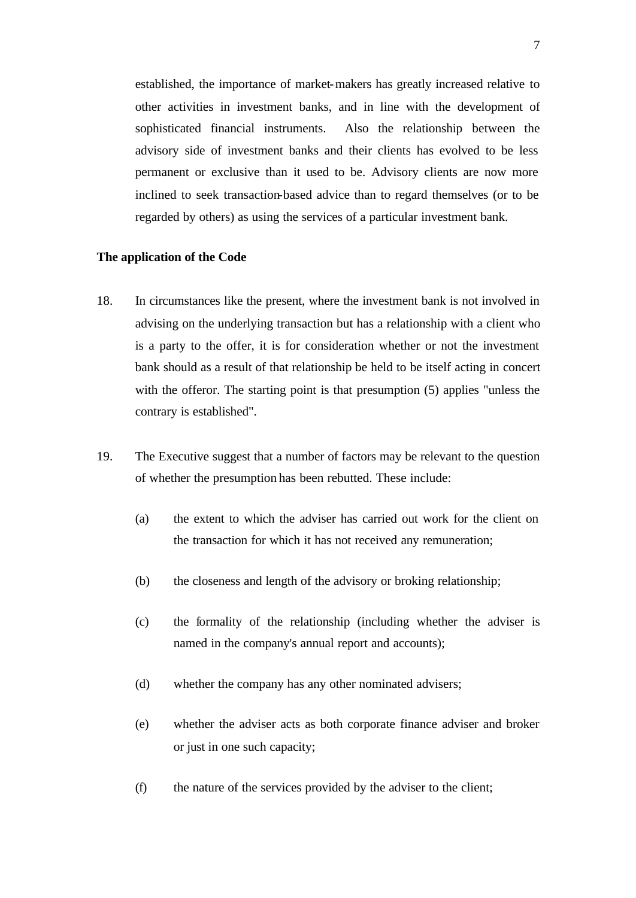established, the importance of market-makers has greatly increased relative to other activities in investment banks, and in line with the development of sophisticated financial instruments. Also the relationship between the advisory side of investment banks and their clients has evolved to be less permanent or exclusive than it used to be. Advisory clients are now more inclined to seek transaction-based advice than to regard themselves (or to be regarded by others) as using the services of a particular investment bank.

#### **The application of the Code**

- 18. In circumstances like the present, where the investment bank is not involved in advising on the underlying transaction but has a relationship with a client who is a party to the offer, it is for consideration whether or not the investment bank should as a result of that relationship be held to be itself acting in concert with the offeror. The starting point is that presumption  $(5)$  applies "unless the contrary is established".
- 19. The Executive suggest that a number of factors may be relevant to the question of whether the presumption has been rebutted. These include:
	- (a) the extent to which the adviser has carried out work for the client on the transaction for which it has not received any remuneration;
	- (b) the closeness and length of the advisory or broking relationship;
	- (c) the formality of the relationship (including whether the adviser is named in the company's annual report and accounts);
	- (d) whether the company has any other nominated advisers;
	- (e) whether the adviser acts as both corporate finance adviser and broker or just in one such capacity;
	- (f) the nature of the services provided by the adviser to the client;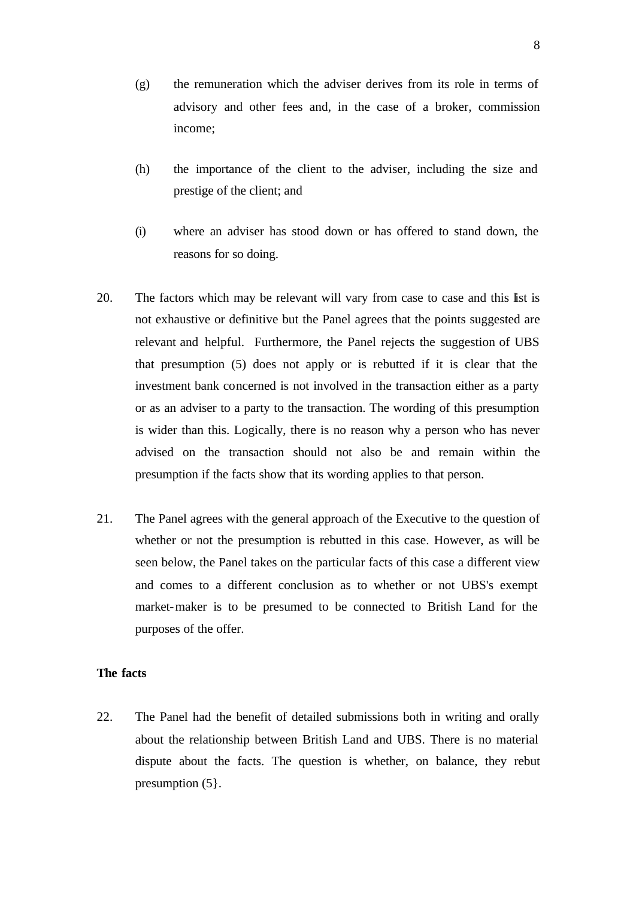- (g) the remuneration which the adviser derives from its role in terms of advisory and other fees and, in the case of a broker, commission income;
- (h) the importance of the client to the adviser, including the size and prestige of the client; and
- (i) where an adviser has stood down or has offered to stand down, the reasons for so doing.
- 20. The factors which may be relevant will vary from case to case and this list is not exhaustive or definitive but the Panel agrees that the points suggested are relevant and helpful. Furthermore, the Panel rejects the suggestion of UBS that presumption (5) does not apply or is rebutted if it is clear that the investment bank concerned is not involved in the transaction either as a party or as an adviser to a party to the transaction. The wording of this presumption is wider than this. Logically, there is no reason why a person who has never advised on the transaction should not also be and remain within the presumption if the facts show that its wording applies to that person.
- 21. The Panel agrees with the general approach of the Executive to the question of whether or not the presumption is rebutted in this case. However, as will be seen below, the Panel takes on the particular facts of this case a different view and comes to a different conclusion as to whether or not UBS's exempt market-maker is to be presumed to be connected to British Land for the purposes of the offer.

# **The facts**

22. The Panel had the benefit of detailed submissions both in writing and orally about the relationship between British Land and UBS. There is no material dispute about the facts. The question is whether, on balance, they rebut presumption (5}.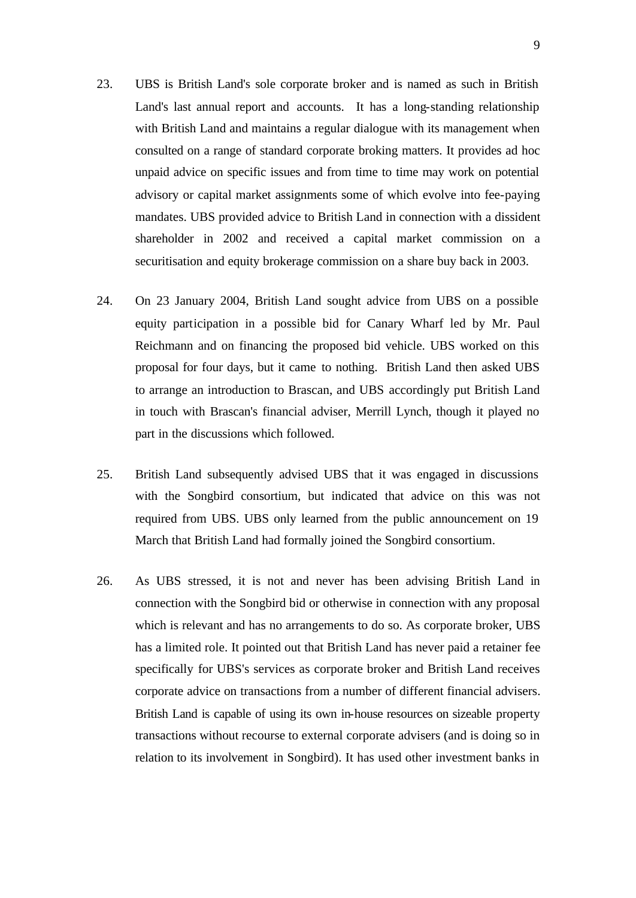- 23. UBS is British Land's sole corporate broker and is named as such in British Land's last annual report and accounts. It has a long-standing relationship with British Land and maintains a regular dialogue with its management when consulted on a range of standard corporate broking matters. It provides ad hoc unpaid advice on specific issues and from time to time may work on potential advisory or capital market assignments some of which evolve into fee-paying mandates. UBS provided advice to British Land in connection with a dissident shareholder in 2002 and received a capital market commission on a securitisation and equity brokerage commission on a share buy back in 2003.
- 24. On 23 January 2004, British Land sought advice from UBS on a possible equity participation in a possible bid for Canary Wharf led by Mr. Paul Reichmann and on financing the proposed bid vehicle. UBS worked on this proposal for four days, but it came to nothing. British Land then asked UBS to arrange an introduction to Brascan, and UBS accordingly put British Land in touch with Brascan's financial adviser, Merrill Lynch, though it played no part in the discussions which followed.
- 25. British Land subsequently advised UBS that it was engaged in discussions with the Songbird consortium, but indicated that advice on this was not required from UBS. UBS only learned from the public announcement on 19 March that British Land had formally joined the Songbird consortium.
- 26. As UBS stressed, it is not and never has been advising British Land in connection with the Songbird bid or otherwise in connection with any proposal which is relevant and has no arrangements to do so. As corporate broker, UBS has a limited role. It pointed out that British Land has never paid a retainer fee specifically for UBS's services as corporate broker and British Land receives corporate advice on transactions from a number of different financial advisers. British Land is capable of using its own in-house resources on sizeable property transactions without recourse to external corporate advisers (and is doing so in relation to its involvement in Songbird). It has used other investment banks in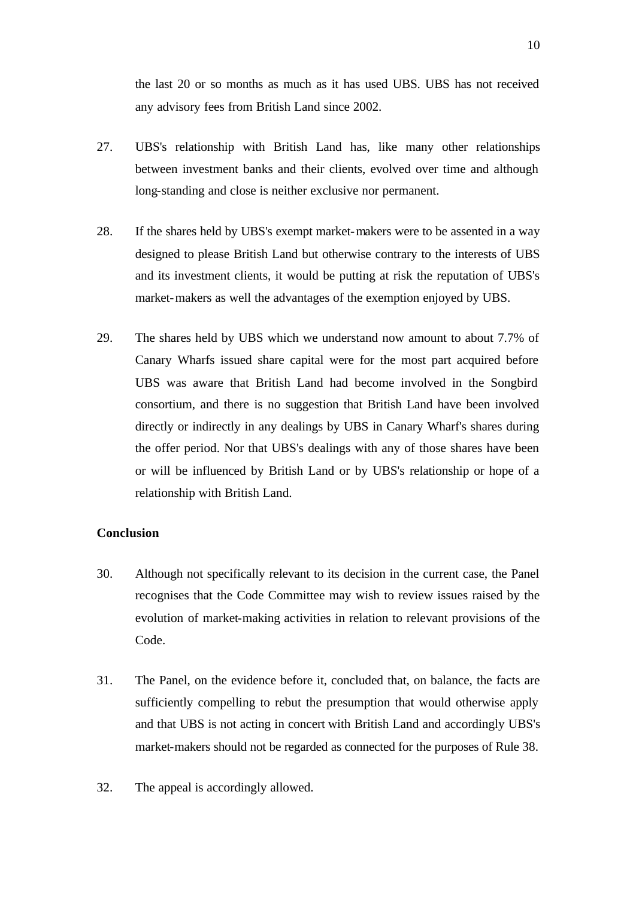the last 20 or so months as much as it has used UBS. UBS has not received any advisory fees from British Land since 2002.

- 27. UBS's relationship with British Land has, like many other relationships between investment banks and their clients, evolved over time and although long-standing and close is neither exclusive nor permanent.
- 28. If the shares held by UBS's exempt market-makers were to be assented in a way designed to please British Land but otherwise contrary to the interests of UBS and its investment clients, it would be putting at risk the reputation of UBS's market-makers as well the advantages of the exemption enjoyed by UBS.
- 29. The shares held by UBS which we understand now amount to about 7.7% of Canary Wharfs issued share capital were for the most part acquired before UBS was aware that British Land had become involved in the Songbird consortium, and there is no suggestion that British Land have been involved directly or indirectly in any dealings by UBS in Canary Wharf's shares during the offer period. Nor that UBS's dealings with any of those shares have been or will be influenced by British Land or by UBS's relationship or hope of a relationship with British Land.

## **Conclusion**

- 30. Although not specifically relevant to its decision in the current case, the Panel recognises that the Code Committee may wish to review issues raised by the evolution of market-making activities in relation to relevant provisions of the Code.
- 31. The Panel, on the evidence before it, concluded that, on balance, the facts are sufficiently compelling to rebut the presumption that would otherwise apply and that UBS is not acting in concert with British Land and accordingly UBS's market-makers should not be regarded as connected for the purposes of Rule 38.
- 32. The appeal is accordingly allowed.